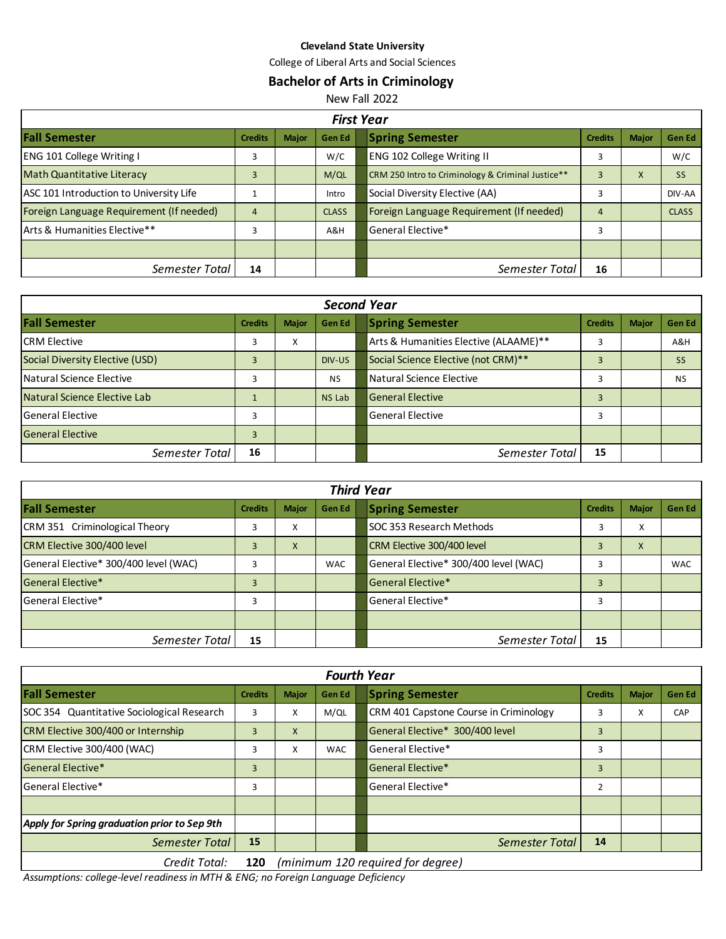### **Cleveland State University**

College of Liberal Arts and Social Sciences

# **Bachelor of Arts in Criminology**

New Fall 2022

| <b>First Year</b>                        |                |              |               |                                                             |               |  |  |  |
|------------------------------------------|----------------|--------------|---------------|-------------------------------------------------------------|---------------|--|--|--|
| <b>Fall Semester</b>                     | <b>Credits</b> | <b>Major</b> | <b>Gen Ed</b> | <b>Spring Semester</b><br><b>Credits</b><br><b>Major</b>    | <b>Gen Ed</b> |  |  |  |
| <b>ENG 101 College Writing I</b>         | 3              |              | W/C           | <b>ENG 102 College Writing II</b><br>3                      | W/C           |  |  |  |
| <b>Math Quantitative Literacy</b>        | 3              |              | M/QL          | CRM 250 Intro to Criminology & Criminal Justice**<br>3<br>X |               |  |  |  |
| ASC 101 Introduction to University Life  |                |              | Intro         | Social Diversity Elective (AA)<br>3                         | DIV-AA        |  |  |  |
| Foreign Language Requirement (If needed) | 4              |              | <b>CLASS</b>  | Foreign Language Requirement (If needed)<br>4               | <b>CLASS</b>  |  |  |  |
| Arts & Humanities Elective**             | 3              |              | A&H           | General Elective*<br>3                                      |               |  |  |  |
|                                          |                |              |               |                                                             |               |  |  |  |
| Semester Total                           | 14             |              |               | Semester Total<br>16                                        |               |  |  |  |

| <b>Second Year</b>              |                |              |           |                                          |                                       |                |              |           |
|---------------------------------|----------------|--------------|-----------|------------------------------------------|---------------------------------------|----------------|--------------|-----------|
| <b>Fall Semester</b>            | <b>Credits</b> | <b>Major</b> | Gen Ed    |                                          | <b>Spring Semester</b>                | <b>Credits</b> | <b>Major</b> | Gen Ed    |
| <b>ICRM Elective</b>            | 3              | X            |           |                                          | Arts & Humanities Elective (ALAAME)** | 3              |              | A&H       |
| Social Diversity Elective (USD) | 3              |              | DIV-US    | Social Science Elective (not CRM)**<br>3 |                                       | <b>SS</b>      |              |           |
| l Natural Science Elective      | 3              |              | <b>NS</b> |                                          | Natural Science Elective              | 3              |              | <b>NS</b> |
| Natural Science Elective Lab    |                |              | NS Lab    | <b>General Elective</b>                  |                                       | 3              |              |           |
| General Elective                | 3              |              |           | <b>General Elective</b><br>3             |                                       |                |              |           |
| <b>General Elective</b>         | 3              |              |           |                                          |                                       |                |              |           |
| Semester Total                  | 16             |              |           |                                          | Semester Total                        | 15             |              |           |

| <b>Third Year</b>                     |                |              |            |                                      |                                            |                |              |               |
|---------------------------------------|----------------|--------------|------------|--------------------------------------|--------------------------------------------|----------------|--------------|---------------|
| <b>Fall Semester</b>                  | <b>Credits</b> | <b>Major</b> | Gen Ed     |                                      | <b>Spring Semester</b>                     | <b>Credits</b> | <b>Major</b> | <b>Gen Ed</b> |
| CRM 351 Criminological Theory         | 3              | X            |            | SOC 353 Research Methods<br>X<br>3   |                                            |                |              |               |
| CRM Elective 300/400 level            | 3              | X            |            | CRM Elective 300/400 level<br>X<br>3 |                                            |                |              |               |
| General Elective* 300/400 level (WAC) | 3              |              | <b>WAC</b> |                                      | General Elective* 300/400 level (WAC)<br>3 |                |              | <b>WAC</b>    |
| General Elective*                     | 3              |              |            |                                      | General Elective*                          |                |              |               |
| <b>General Elective*</b>              | 3              |              |            | General Elective*<br>3               |                                            |                |              |               |
|                                       |                |              |            |                                      |                                            |                |              |               |
| Semester Total                        | 15             |              |            |                                      | Semester Total                             | 15             |              |               |

| <b>Fourth Year</b>                                |                |              |                                      |                             |                                        |                |       |               |
|---------------------------------------------------|----------------|--------------|--------------------------------------|-----------------------------|----------------------------------------|----------------|-------|---------------|
| <b>Fall Semester</b>                              | <b>Credits</b> | <b>Major</b> | <b>Gen Ed</b>                        |                             | <b>Spring Semester</b>                 | <b>Credits</b> | Major | <b>Gen Ed</b> |
| <b>SOC 354 Quantitative Sociological Research</b> | 3              | X            | M/QL                                 |                             | CRM 401 Capstone Course in Criminology | 3              | X     | CAP           |
| CRM Elective 300/400 or Internship                | 3              | X            | General Elective* 300/400 level<br>3 |                             |                                        |                |       |               |
| CRM Elective 300/400 (WAC)                        | 3              | X            | <b>WAC</b>                           | General Elective*<br>3      |                                        |                |       |               |
| General Elective*                                 | 3              |              |                                      | General Elective*<br>3      |                                        |                |       |               |
| <b>General Elective*</b>                          | 3              |              |                                      | General Elective*<br>2      |                                        |                |       |               |
|                                                   |                |              |                                      |                             |                                        |                |       |               |
| Apply for Spring graduation prior to Sep 9th      |                |              |                                      |                             |                                        |                |       |               |
| <b>Semester Total</b>                             | 15             |              |                                      | 14<br><b>Semester Total</b> |                                        |                |       |               |
| .                                                 |                |              |                                      |                             |                                        |                |       |               |

*Credit Total:* **120** *(minimum 120 required for degree)*

*Assumptions: college-level readiness in MTH & ENG; no Foreign Language Deficiency*